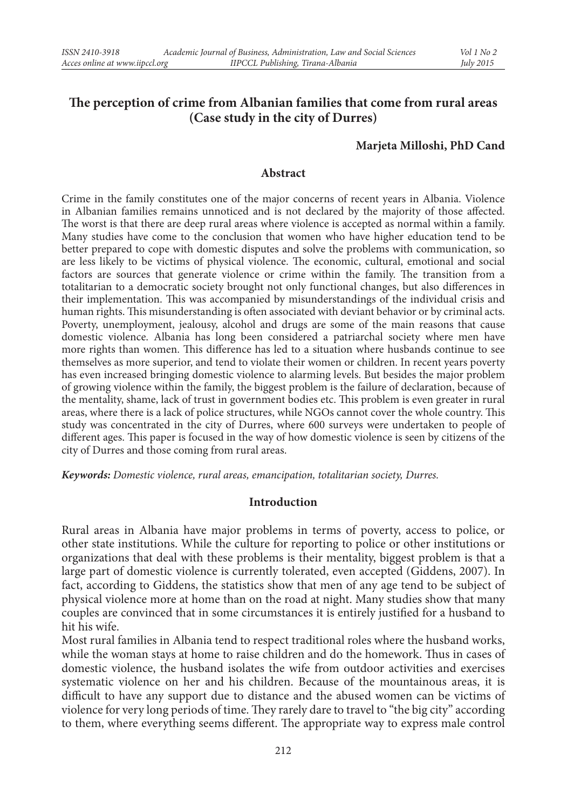# **The perception of crime from Albanian families that come from rural areas (Case study in the city of Durres)**

### **Marjeta Milloshi, PhD Cand**

### **Abstract**

Crime in the family constitutes one of the major concerns of recent years in Albania. Violence in Albanian families remains unnoticed and is not declared by the majority of those affected. The worst is that there are deep rural areas where violence is accepted as normal within a family. Many studies have come to the conclusion that women who have higher education tend to be better prepared to cope with domestic disputes and solve the problems with communication, so are less likely to be victims of physical violence. The economic, cultural, emotional and social factors are sources that generate violence or crime within the family. The transition from a totalitarian to a democratic society brought not only functional changes, but also differences in their implementation. This was accompanied by misunderstandings of the individual crisis and human rights. This misunderstanding is often associated with deviant behavior or by criminal acts. Poverty, unemployment, jealousy, alcohol and drugs are some of the main reasons that cause domestic violence. Albania has long been considered a patriarchal society where men have more rights than women. This difference has led to a situation where husbands continue to see themselves as more superior, and tend to violate their women or children. In recent years poverty has even increased bringing domestic violence to alarming levels. But besides the major problem of growing violence within the family, the biggest problem is the failure of declaration, because of the mentality, shame, lack of trust in government bodies etc. This problem is even greater in rural areas, where there is a lack of police structures, while NGOs cannot cover the whole country. This study was concentrated in the city of Durres, where 600 surveys were undertaken to people of different ages. This paper is focused in the way of how domestic violence is seen by citizens of the city of Durres and those coming from rural areas.

*Keywords: Domestic violence, rural areas, emancipation, totalitarian society, Durres.*

#### **Introduction**

Rural areas in Albania have major problems in terms of poverty, access to police, or other state institutions. While the culture for reporting to police or other institutions or organizations that deal with these problems is their mentality, biggest problem is that a large part of domestic violence is currently tolerated, even accepted (Giddens, 2007). In fact, according to Giddens, the statistics show that men of any age tend to be subject of physical violence more at home than on the road at night. Many studies show that many couples are convinced that in some circumstances it is entirely justified for a husband to hit his wife.

Most rural families in Albania tend to respect traditional roles where the husband works, while the woman stays at home to raise children and do the homework. Thus in cases of domestic violence, the husband isolates the wife from outdoor activities and exercises systematic violence on her and his children. Because of the mountainous areas, it is difficult to have any support due to distance and the abused women can be victims of violence for very long periods of time. They rarely dare to travel to "the big city" according to them, where everything seems different. The appropriate way to express male control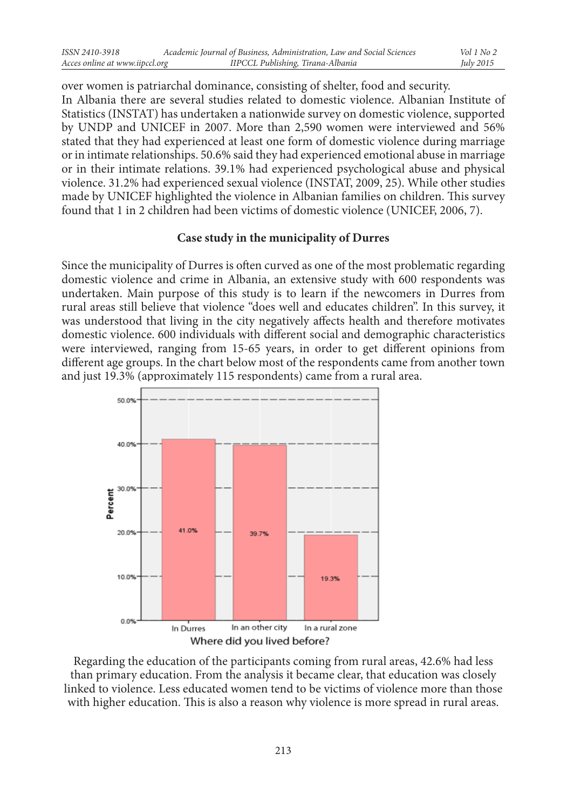over women is patriarchal dominance, consisting of shelter, food and security. In Albania there are several studies related to domestic violence. Albanian Institute of Statistics (INSTAT) has undertaken a nationwide survey on domestic violence, supported by UNDP and UNICEF in 2007. More than 2,590 women were interviewed and 56% stated that they had experienced at least one form of domestic violence during marriage or in intimate relationships. 50.6% said they had experienced emotional abuse in marriage or in their intimate relations. 39.1% had experienced psychological abuse and physical violence. 31.2% had experienced sexual violence (INSTAT, 2009, 25). While other studies made by UNICEF highlighted the violence in Albanian families on children. This survey found that 1 in 2 children had been victims of domestic violence (UNICEF, 2006, 7).

## **Case study in the municipality of Durres**

Since the municipality of Durres is often curved as one of the most problematic regarding domestic violence and crime in Albania, an extensive study with 600 respondents was undertaken. Main purpose of this study is to learn if the newcomers in Durres from rural areas still believe that violence "does well and educates children". In this survey, it was understood that living in the city negatively affects health and therefore motivates domestic violence. 600 individuals with different social and demographic characteristics were interviewed, ranging from 15-65 years, in order to get different opinions from different age groups. In the chart below most of the respondents came from another town and just 19.3% (approximately 115 respondents) came from a rural area.



Regarding the education of the participants coming from rural areas, 42.6% had less than primary education. From the analysis it became clear, that education was closely linked to violence. Less educated women tend to be victims of violence more than those with higher education. This is also a reason why violence is more spread in rural areas.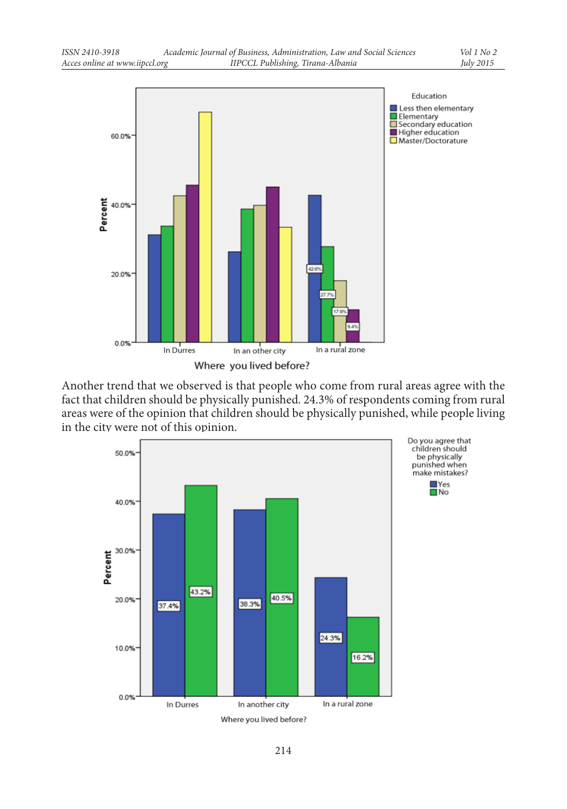

Another trend that we observed is that people who come from rural areas agree with the fact that children should be physically punished. 24.3% of respondents coming from rural areas were of the opinion that children should be physically punished, while people living in the city were not of this opinion.

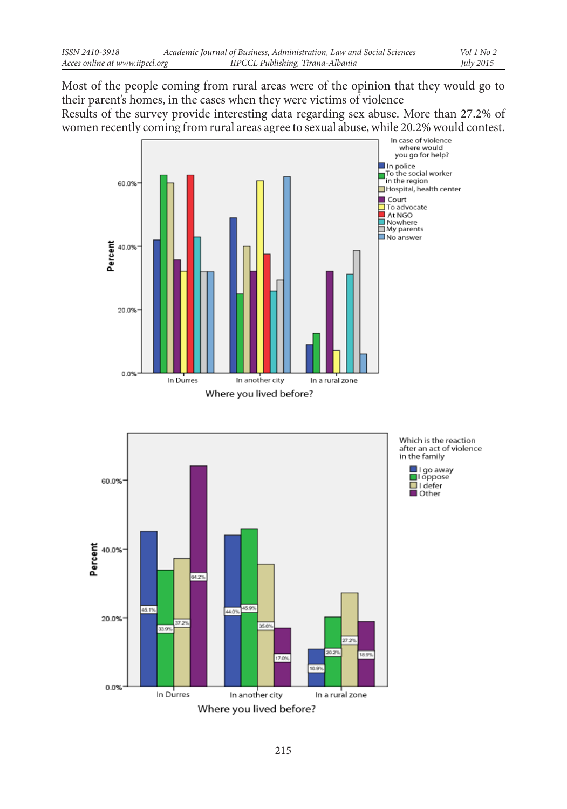Most of the people coming from rural areas were of the opinion that they would go to their parent's homes, in the cases when they were victims of violence Results of the survey provide interesting data regarding sex abuse. More than 27.2% of women recently coming from rural areas agree to sexual abuse, while 20.2% would contest.





Which is the reaction after an act of violence in the family

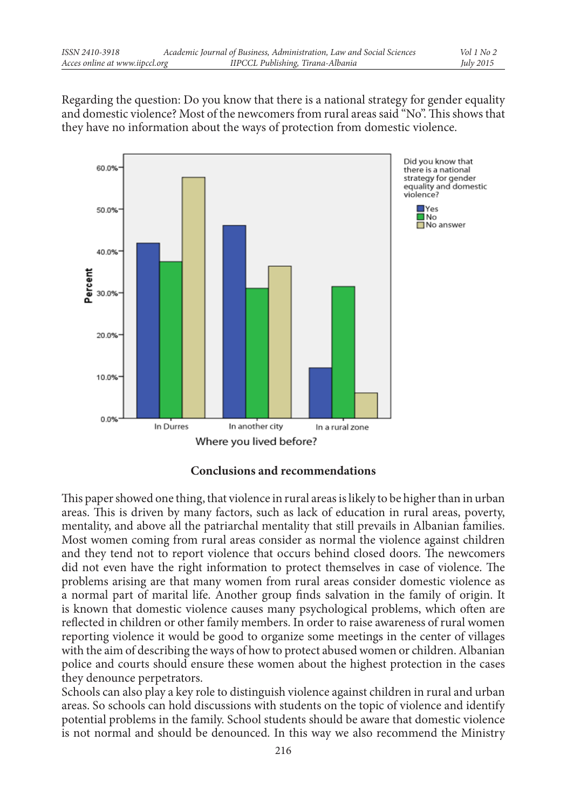Regarding the question: Do you know that there is a national strategy for gender equality and domestic violence? Most of the newcomers from rural areas said "No". This shows that they have no information about the ways of protection from domestic violence.



## **Conclusions and recommendations**

This paper showed one thing, that violence in rural areas is likely to be higher than in urban areas. This is driven by many factors, such as lack of education in rural areas, poverty, mentality, and above all the patriarchal mentality that still prevails in Albanian families. Most women coming from rural areas consider as normal the violence against children and they tend not to report violence that occurs behind closed doors. The newcomers did not even have the right information to protect themselves in case of violence. The problems arising are that many women from rural areas consider domestic violence as a normal part of marital life. Another group finds salvation in the family of origin. It is known that domestic violence causes many psychological problems, which often are reflected in children or other family members. In order to raise awareness of rural women reporting violence it would be good to organize some meetings in the center of villages with the aim of describing the ways of how to protect abused women or children. Albanian police and courts should ensure these women about the highest protection in the cases they denounce perpetrators.

Schools can also play a key role to distinguish violence against children in rural and urban areas. So schools can hold discussions with students on the topic of violence and identify potential problems in the family. School students should be aware that domestic violence is not normal and should be denounced. In this way we also recommend the Ministry